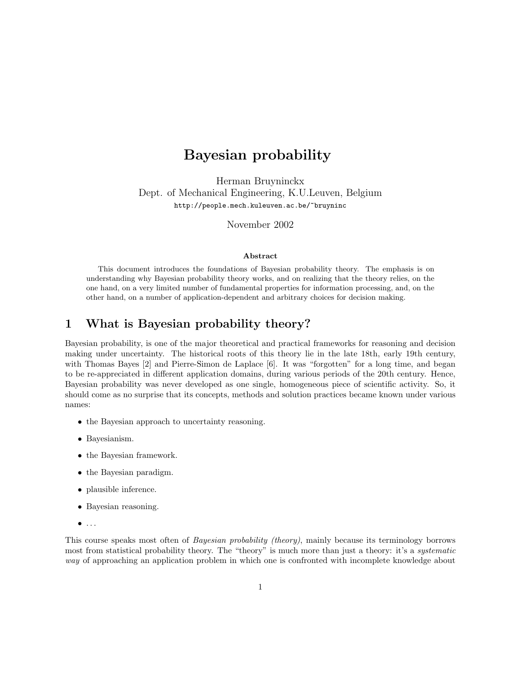# Bayesian probability

Herman Bruyninckx Dept. of Mechanical Engineering, K.U.Leuven, Belgium http://people.mech.kuleuven.ac.be/~bruyninc

November 2002

#### Abstract

This document introduces the foundations of Bayesian probability theory. The emphasis is on understanding why Bayesian probability theory works, and on realizing that the theory relies, on the one hand, on a very limited number of fundamental properties for information processing, and, on the other hand, on a number of application-dependent and arbitrary choices for decision making.

## 1 What is Bayesian probability theory?

Bayesian probability, is one of the major theoretical and practical frameworks for reasoning and decision making under uncertainty. The historical roots of this theory lie in the late 18th, early 19th century, with Thomas Bayes [2] and Pierre-Simon de Laplace [6]. It was "forgotten" for a long time, and began to be re-appreciated in different application domains, during various periods of the 20th century. Hence, Bayesian probability was never developed as one single, homogeneous piece of scientific activity. So, it should come as no surprise that its concepts, methods and solution practices became known under various names:

- the Bayesian approach to uncertainty reasoning.
- Bayesianism.
- the Bayesian framework.
- the Bayesian paradigm.
- plausible inference.
- Bayesian reasoning.
- $\bullet$  ...

This course speaks most often of Bayesian probability (theory), mainly because its terminology borrows most from statistical probability theory. The "theory" is much more than just a theory: it's a *systematic* way of approaching an application problem in which one is confronted with incomplete knowledge about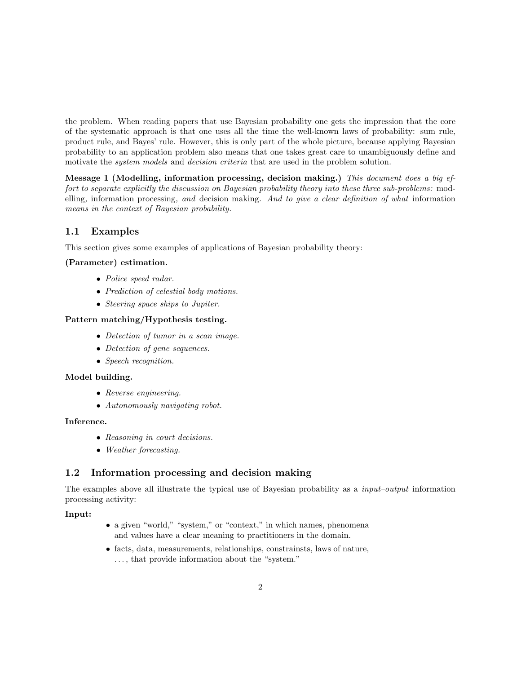the problem. When reading papers that use Bayesian probability one gets the impression that the core of the systematic approach is that one uses all the time the well-known laws of probability: sum rule, product rule, and Bayes' rule. However, this is only part of the whole picture, because applying Bayesian probability to an application problem also means that one takes great care to unambiguously define and motivate the *system models* and *decision criteria* that are used in the problem solution.

Message 1 (Modelling, information processing, decision making.) This document does a big effort to separate explicitly the discussion on Bayesian probability theory into these three sub-problems: modelling, information processing, and decision making. And to give a clear definition of what information means in the context of Bayesian probability.

## 1.1 Examples

This section gives some examples of applications of Bayesian probability theory:

#### (Parameter) estimation.

- Police speed radar.
- Prediction of celestial body motions.
- Steering space ships to Jupiter.

#### Pattern matching/Hypothesis testing.

- Detection of tumor in a scan image.
- Detection of gene sequences.
- Speech recognition.

#### Model building.

- Reverse engineering.
- Autonomously navigating robot.

#### Inference.

- Reasoning in court decisions.
- Weather forecasting.

## 1.2 Information processing and decision making

The examples above all illustrate the typical use of Bayesian probability as a input–output information processing activity:

#### Input:

- a given "world," "system," or "context," in which names, phenomena and values have a clear meaning to practitioners in the domain.
- facts, data, measurements, relationships, constrainsts, laws of nature, . . . , that provide information about the "system."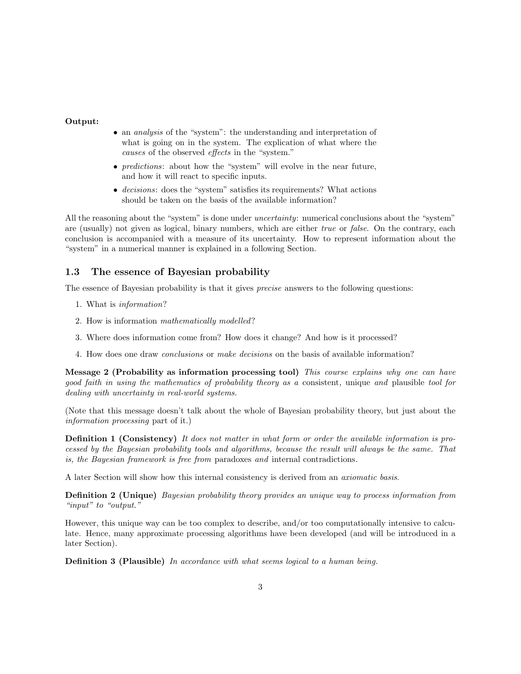#### Output:

- an *analysis* of the "system": the understanding and interpretation of what is going on in the system. The explication of what where the causes of the observed effects in the "system."
- *predictions*: about how the "system" will evolve in the near future, and how it will react to specific inputs.
- decisions: does the "system" satisfies its requirements? What actions should be taken on the basis of the available information?

All the reasoning about the "system" is done under *uncertainty*: numerical conclusions about the "system" are (usually) not given as logical, binary numbers, which are either true or false. On the contrary, each conclusion is accompanied with a measure of its uncertainty. How to represent information about the "system" in a numerical manner is explained in a following Section.

## 1.3 The essence of Bayesian probability

The essence of Bayesian probability is that it gives *precise* answers to the following questions:

- 1. What is information?
- 2. How is information mathematically modelled?
- 3. Where does information come from? How does it change? And how is it processed?
- 4. How does one draw conclusions or make decisions on the basis of available information?

Message 2 (Probability as information processing tool) This course explains why one can have good faith in using the mathematics of probability theory as a consistent, unique and plausible tool for dealing with uncertainty in real-world systems.

(Note that this message doesn't talk about the whole of Bayesian probability theory, but just about the information processing part of it.)

Definition 1 (Consistency) It does not matter in what form or order the available information is processed by the Bayesian probability tools and algorithms, because the result will always be the same. That is, the Bayesian framework is free from paradoxes and internal contradictions.

A later Section will show how this internal consistency is derived from an axiomatic basis.

Definition 2 (Unique) Bayesian probability theory provides an unique way to process information from "input" to "output."

However, this unique way can be too complex to describe, and/or too computationally intensive to calculate. Hence, many approximate processing algorithms have been developed (and will be introduced in a later Section).

Definition 3 (Plausible) In accordance with what seems logical to a human being.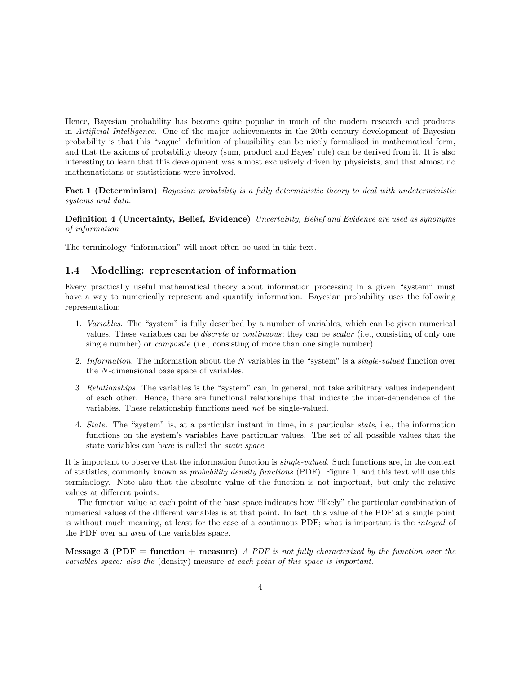Hence, Bayesian probability has become quite popular in much of the modern research and products in Artificial Intelligence. One of the major achievements in the 20th century development of Bayesian probability is that this "vague" definition of plausibility can be nicely formalised in mathematical form, and that the axioms of probability theory (sum, product and Bayes' rule) can be derived from it. It is also interesting to learn that this development was almost exclusively driven by physicists, and that almost no mathematicians or statisticians were involved.

Fact 1 (Determinism) Bayesian probability is a fully deterministic theory to deal with undeterministic systems and data.

Definition 4 (Uncertainty, Belief, Evidence) Uncertainty, Belief and Evidence are used as synonyms of information.

The terminology "information" will most often be used in this text.

### 1.4 Modelling: representation of information

Every practically useful mathematical theory about information processing in a given "system" must have a way to numerically represent and quantify information. Bayesian probability uses the following representation:

- 1. Variables. The "system" is fully described by a number of variables, which can be given numerical values. These variables can be discrete or continuous; they can be scalar (i.e., consisting of only one single number) or *composite* (i.e., consisting of more than one single number).
- 2. Information. The information about the  $N$  variables in the "system" is a single-valued function over the N-dimensional base space of variables.
- 3. Relationships. The variables is the "system" can, in general, not take aribitrary values independent of each other. Hence, there are functional relationships that indicate the inter-dependence of the variables. These relationship functions need not be single-valued.
- 4. State. The "system" is, at a particular instant in time, in a particular state, i.e., the information functions on the system's variables have particular values. The set of all possible values that the state variables can have is called the state space.

It is important to observe that the information function is single-valued. Such functions are, in the context of statistics, commonly known as probability density functions (PDF), Figure 1, and this text will use this terminology. Note also that the absolute value of the function is not important, but only the relative values at different points.

The function value at each point of the base space indicates how "likely" the particular combination of numerical values of the different variables is at that point. In fact, this value of the PDF at a single point is without much meaning, at least for the case of a continuous PDF; what is important is the integral of the PDF over an area of the variables space.

**Message 3 (PDF = function + measure)** A PDF is not fully characterized by the function over the variables space: also the (density) measure at each point of this space is important.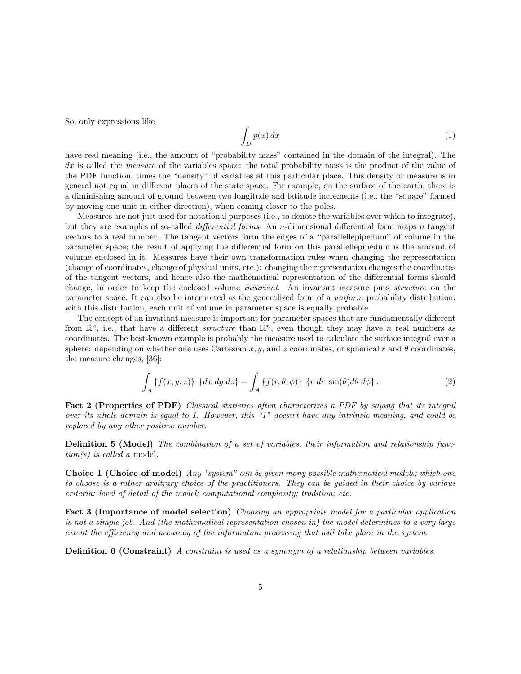So, only expressions like

$$
\int_{D} p(x) dx
$$
\n(1)

have real meaning (i.e., the amount of "probability mass" contained in the domain of the integral). The dx is called the *measure* of the variables space: the total probability mass is the product of the value of the PDF function, times the "density" of variables at this particular place. This density or measure is in general not equal in different places of the state space. For example, on the surface of the earth, there is a diminishing amount of ground between two longitude and latitude increments (i.e., the "square" formed by moving one unit in either direction), when coming closer to the poles.

Measures are not just used for notational purposes (i.e., to denote the variables over which to integrate), but they are examples of so-called differential forms. An n-dimensional differential form maps n tangent vectors to a real number. The tangent vectors form the edges of a "parallellepipedum" of volume in the parameter space; the result of applying the differential form on this parallellepipedum is the amount of volume enclosed in it. Measures have their own transformation rules when changing the representation (change of coordinates, change of physical units, etc.): changing the representation changes the coordinates of the tangent vectors, and hence also the mathematical representation of the differential forms should change, in order to keep the enclosed volume invariant. An invariant measure puts structure on the parameter space. It can also be interpreted as the generalized form of a uniform probability distribution: with this distribution, each unit of volume in parameter space is equally probable.

The concept of an invariant measure is important for parameter spaces that are fundamentally different from  $\mathbb{R}^n$ , i.e., that have a different *structure* than  $\mathbb{R}^n$ , even though they may have *n* real numbers as coordinates. The best-known example is probably the measure used to calculate the surface integral over a sphere: depending on whether one uses Cartesian x, y, and z coordinates, or spherical r and  $\theta$  coordinates, the measure changes, [36]:

$$
\int_{A} \{f(x, y, z)\} \{dx dy dz\} = \int_{A} \{f(r, \theta, \phi)\} \{r dr \sin(\theta) d\theta d\phi\}.
$$
 (2)

Fact 2 (Properties of PDF) Classical statistics often characterizes a PDF by saying that its integral over its whole domain is equal to 1. However, this "1" doesn't have any intrinsic meaning, and could be replaced by any other positive number.

Definition 5 (Model) The combination of a set of variables, their information and relationship func $tion(s)$  is called a model.

Choice 1 (Choice of model) Any "system" can be given many possible mathematical models; which one to choose is a rather arbitrary choice of the practitioners. They can be guided in their choice by various criteria: level of detail of the model; computational complexity; tradition; etc.

Fact 3 (Importance of model selection) Choosing an appropriate model for a particular application is not a simple job. And (the mathematical representation chosen in) the model determines to a very large extent the efficiency and accuracy of the information processing that will take place in the system.

Definition 6 (Constraint) A constraint is used as a synonym of a relationship between variables.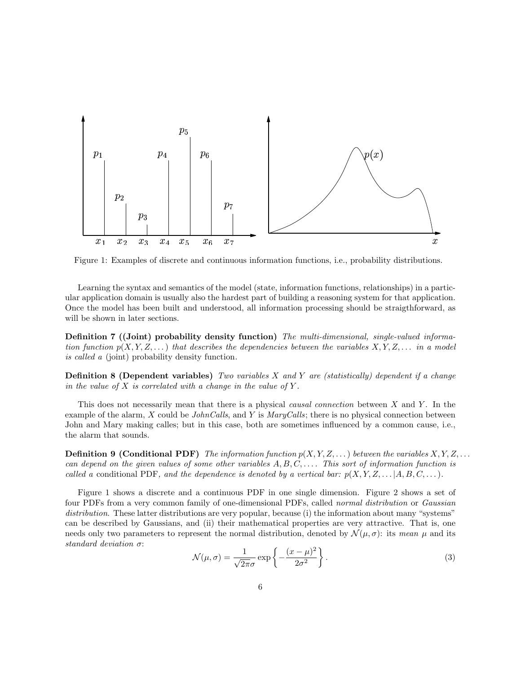

Figure 1: Examples of discrete and continuous information functions, i.e., probability distributions.

Learning the syntax and semantics of the model (state, information functions, relationships) in a particular application domain is usually also the hardest part of building a reasoning system for that application. Once the model has been built and understood, all information processing should be straigthforward, as will be shown in later sections.

Definition 7 ((Joint) probability density function) The multi-dimensional, single-valued information function  $p(X, Y, Z, ...)$  that describes the dependencies between the variables  $X, Y, Z, ...$  in a model is called a (joint) probability density function.

**Definition 8 (Dependent variables)** Two variables X and Y are (statistically) dependent if a change in the value of X is correlated with a change in the value of Y.

This does not necessarily mean that there is a physical *causal connection* between  $X$  and  $Y$ . In the example of the alarm, X could be *JohnCalls*, and Y is  $MaryCalls$ ; there is no physical connection between John and Mary making calles; but in this case, both are sometimes influenced by a common cause, i.e., the alarm that sounds.

**Definition 9 (Conditional PDF)** The information function  $p(X, Y, Z, \ldots)$  between the variables  $X, Y, Z, \ldots$ can depend on the given values of some other variables  $A, B, C, \ldots$ . This sort of information function is called a conditional PDF, and the dependence is denoted by a vertical bar:  $p(X, Y, Z, \ldots | A, B, C, \ldots)$ .

Figure 1 shows a discrete and a continuous PDF in one single dimension. Figure 2 shows a set of four PDFs from a very common family of one-dimensional PDFs, called normal distribution or Gaussian distribution. These latter distributions are very popular, because (i) the information about many "systems" can be described by Gaussians, and (ii) their mathematical properties are very attractive. That is, one needs only two parameters to represent the normal distribution, denoted by  $\mathcal{N}(\mu, \sigma)$ : its mean  $\mu$  and its standard deviation σ:

$$
\mathcal{N}(\mu,\sigma) = \frac{1}{\sqrt{2\pi}\sigma} \exp\left\{-\frac{(x-\mu)^2}{2\sigma^2}\right\}.
$$
\n(3)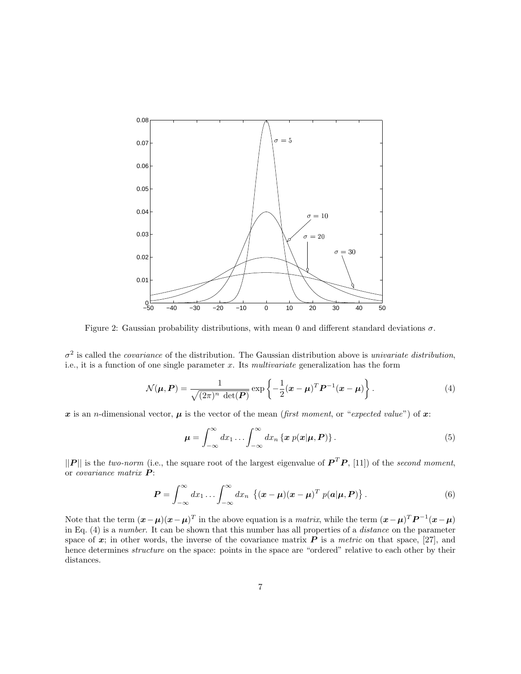

Figure 2: Gaussian probability distributions, with mean 0 and different standard deviations  $\sigma$ .

 $\sigma^2$  is called the *covariance* of the distribution. The Gaussian distribution above is *univariate distribution*, i.e., it is a function of one single parameter  $x$ . Its *multivariate* generalization has the form

$$
\mathcal{N}(\boldsymbol{\mu}, \boldsymbol{P}) = \frac{1}{\sqrt{(2\pi)^n \det(\boldsymbol{P})}} \exp\left\{-\frac{1}{2}(\boldsymbol{x} - \boldsymbol{\mu})^T \boldsymbol{P}^{-1}(\boldsymbol{x} - \boldsymbol{\mu})\right\}.
$$
 (4)

x is an *n*-dimensional vector,  $\mu$  is the vector of the mean (first moment, or "expected value") of x:

$$
\mu = \int_{-\infty}^{\infty} dx_1 \dots \int_{-\infty}^{\infty} dx_n \left\{ x \ p(x|\mu, P) \right\}.
$$
 (5)

 $||P||$  is the two-norm (i.e., the square root of the largest eigenvalue of  $P^T P$ , [11]) of the second moment, or covariance matrix  $P$ :

$$
\boldsymbol{P} = \int_{-\infty}^{\infty} dx_1 \dots \int_{-\infty}^{\infty} dx_n \left\{ (\boldsymbol{x} - \boldsymbol{\mu})(\boldsymbol{x} - \boldsymbol{\mu})^T p(\boldsymbol{a}|\boldsymbol{\mu}, \boldsymbol{P}) \right\}.
$$
 (6)

Note that the term  $(\mathbf{x}-\boldsymbol{\mu})(\mathbf{x}-\boldsymbol{\mu})^T$  in the above equation is a *matrix*, while the term  $(\mathbf{x}-\boldsymbol{\mu})^T P^{-1}(\mathbf{x}-\boldsymbol{\mu})$ in Eq. (4) is a number. It can be shown that this number has all properties of a distance on the parameter space of x; in other words, the inverse of the covariance matrix  $P$  is a metric on that space, [27], and hence determines *structure* on the space: points in the space are "ordered" relative to each other by their distances.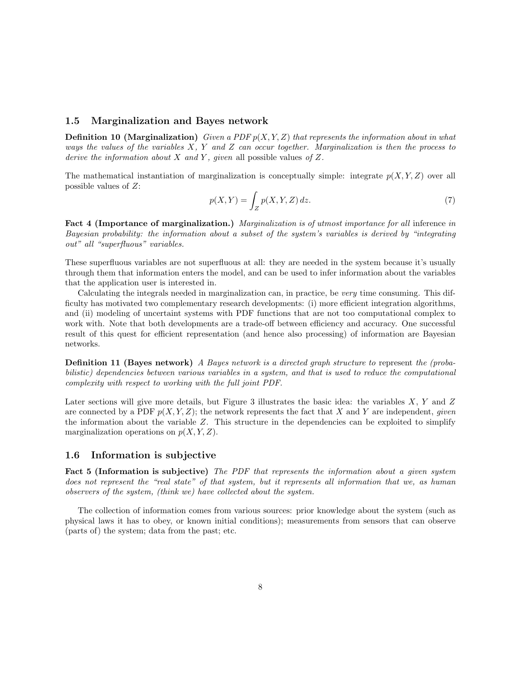#### 1.5 Marginalization and Bayes network

**Definition 10 (Marginalization)** Given a PDF  $p(X, Y, Z)$  that represents the information about in what ways the values of the variables  $X, Y$  and  $Z$  can occur together. Marginalization is then the process to derive the information about X and Y, given all possible values of Z.

The mathematical instantiation of marginalization is conceptually simple: integrate  $p(X, Y, Z)$  over all possible values of Z:

$$
p(X,Y) = \int_{Z} p(X,Y,Z) dz.
$$
\n(7)

Fact 4 (Importance of marginalization.) Marginalization is of utmost importance for all inference in Bayesian probability: the information about a subset of the system's variables is derived by "integrating out" all "superfluous" variables.

These superfluous variables are not superfluous at all: they are needed in the system because it's usually through them that information enters the model, and can be used to infer information about the variables that the application user is interested in.

Calculating the integrals needed in marginalization can, in practice, be very time consuming. This difficulty has motivated two complementary research developments: (i) more efficient integration algorithms, and (ii) modeling of uncertaint systems with PDF functions that are not too computational complex to work with. Note that both developments are a trade-off between efficiency and accuracy. One successful result of this quest for efficient representation (and hence also processing) of information are Bayesian networks.

Definition 11 (Bayes network) A Bayes network is a directed graph structure to represent the (probabilistic) dependencies between various variables in a system, and that is used to reduce the computational complexity with respect to working with the full joint PDF.

Later sections will give more details, but Figure 3 illustrates the basic idea: the variables X, Y and Z are connected by a PDF  $p(X, Y, Z)$ ; the network represents the fact that X and Y are independent, given the information about the variable  $Z$ . This structure in the dependencies can be exploited to simplify marginalization operations on  $p(X, Y, Z)$ .

#### 1.6 Information is subjective

Fact 5 (Information is subjective) The PDF that represents the information about a given system does not represent the "real state" of that system, but it represents all information that we, as human observers of the system, (think we) have collected about the system.

The collection of information comes from various sources: prior knowledge about the system (such as physical laws it has to obey, or known initial conditions); measurements from sensors that can observe (parts of) the system; data from the past; etc.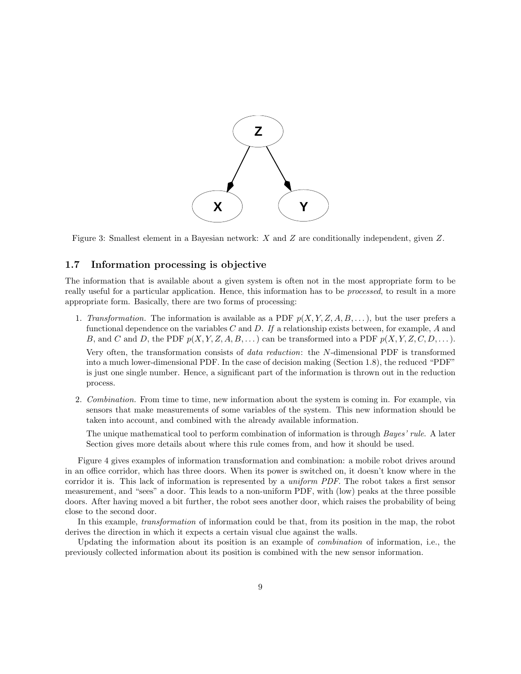

Figure 3: Smallest element in a Bayesian network: X and Z are conditionally independent, given Z.

#### 1.7 Information processing is objective

The information that is available about a given system is often not in the most appropriate form to be really useful for a particular application. Hence, this information has to be processed, to result in a more appropriate form. Basically, there are two forms of processing:

1. Transformation. The information is available as a PDF  $p(X, Y, Z, A, B, \ldots)$ , but the user prefers a functional dependence on the variables C and D. If a relationship exists between, for example, A and B, and C and D, the PDF  $p(X, Y, Z, A, B, ...)$  can be transformed into a PDF  $p(X, Y, Z, C, D, ...)$ .

Very often, the transformation consists of data reduction: the N-dimensional PDF is transformed into a much lower-dimensional PDF. In the case of decision making (Section 1.8), the reduced "PDF" is just one single number. Hence, a significant part of the information is thrown out in the reduction process.

2. Combination. From time to time, new information about the system is coming in. For example, via sensors that make measurements of some variables of the system. This new information should be taken into account, and combined with the already available information.

The unique mathematical tool to perform combination of information is through Bayes' rule. A later Section gives more details about where this rule comes from, and how it should be used.

Figure 4 gives examples of information transformation and combination: a mobile robot drives around in an office corridor, which has three doors. When its power is switched on, it doesn't know where in the corridor it is. This lack of information is represented by a uniform PDF. The robot takes a first sensor measurement, and "sees" a door. This leads to a non-uniform PDF, with (low) peaks at the three possible doors. After having moved a bit further, the robot sees another door, which raises the probability of being close to the second door.

In this example, transformation of information could be that, from its position in the map, the robot derives the direction in which it expects a certain visual clue against the walls.

Updating the information about its position is an example of combination of information, i.e., the previously collected information about its position is combined with the new sensor information.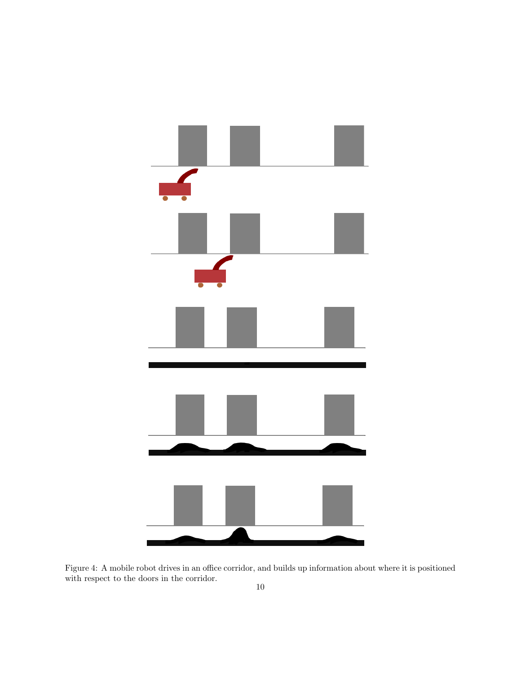

Figure 4: A mobile robot drives in an office corridor, and builds up information about where it is positioned with respect to the doors in the corridor.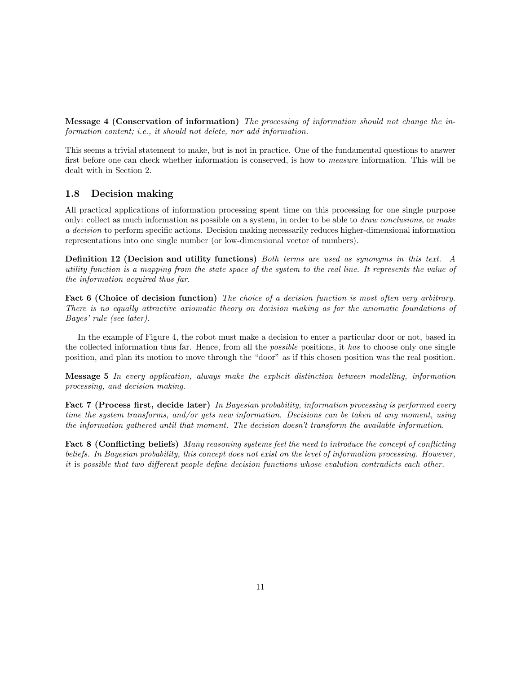Message 4 (Conservation of information) The processing of information should not change the information content; i.e., it should not delete, nor add information.

This seems a trivial statement to make, but is not in practice. One of the fundamental questions to answer first before one can check whether information is conserved, is how to measure information. This will be dealt with in Section 2.

### 1.8 Decision making

All practical applications of information processing spent time on this processing for one single purpose only: collect as much information as possible on a system, in order to be able to draw conclusions, or make a decision to perform specific actions. Decision making necessarily reduces higher-dimensional information representations into one single number (or low-dimensional vector of numbers).

Definition 12 (Decision and utility functions) Both terms are used as synonyms in this text. A utility function is a mapping from the state space of the system to the real line. It represents the value of the information acquired thus far.

Fact 6 (Choice of decision function) The choice of a decision function is most often very arbitrary. There is no equally attractive axiomatic theory on decision making as for the axiomatic foundations of Bayes' rule (see later).

In the example of Figure 4, the robot must make a decision to enter a particular door or not, based in the collected information thus far. Hence, from all the *possible* positions, it has to choose only one single position, and plan its motion to move through the "door" as if this chosen position was the real position.

Message 5 In every application, always make the explicit distinction between modelling, information processing, and decision making.

Fact 7 (Process first, decide later) In Bayesian probability, information processing is performed every time the system transforms, and/or gets new information. Decisions can be taken at any moment, using the information gathered until that moment. The decision doesn't transform the available information.

Fact 8 (Conflicting beliefs) Many reasoning systems feel the need to introduce the concept of conflicting beliefs. In Bayesian probability, this concept does not exist on the level of information processing. However, it is possible that two different people define decision functions whose evalution contradicts each other.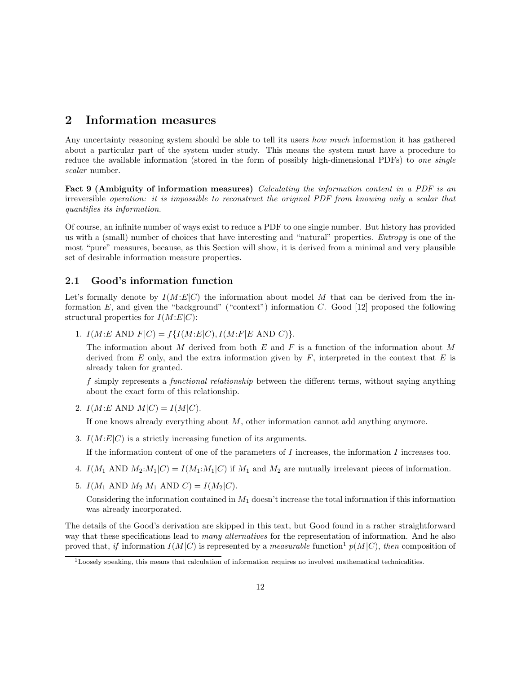## 2 Information measures

Any uncertainty reasoning system should be able to tell its users *how much* information it has gathered about a particular part of the system under study. This means the system must have a procedure to reduce the available information (stored in the form of possibly high-dimensional PDFs) to one single scalar number.

Fact 9 (Ambiguity of information measures) *Calculating the information content in a PDF is an* irreversible operation: it is impossible to reconstruct the original PDF from knowing only a scalar that quantifies its information.

Of course, an infinite number of ways exist to reduce a PDF to one single number. But history has provided us with a (small) number of choices that have interesting and "natural" properties. Entropy is one of the most "pure" measures, because, as this Section will show, it is derived from a minimal and very plausible set of desirable information measure properties.

### 2.1 Good's information function

Let's formally denote by  $I(M:E|C)$  the information about model M that can be derived from the information E, and given the "background" ("context") information C. Good [12] proposed the following structural properties for  $I(M:E|C)$ :

1.  $I(M:E \text{ AND } F|C) = f\{I(M:E|C), I(M:F|E \text{ AND } C)\}.$ 

The information about M derived from both E and F is a function of the information about M derived from  $E$  only, and the extra information given by  $F$ , interpreted in the context that  $E$  is already taken for granted.

f simply represents a functional relationship between the different terms, without saying anything about the exact form of this relationship.

2.  $I(M:E \text{ AND } M|C) = I(M|C)$ .

If one knows already everything about  $M$ , other information cannot add anything anymore.

3.  $I(M:E|C)$  is a strictly increasing function of its arguments.

If the information content of one of the parameters of  $I$  increases, the information  $I$  increases too.

- 4.  $I(M_1 \text{ AND } M_2:M_1|C) = I(M_1:M_1|C)$  if  $M_1$  and  $M_2$  are mutually irrelevant pieces of information.
- 5.  $I(M_1 \text{ AND } M_2|M_1 \text{ AND } C) = I(M_2|C)$ .

Considering the information contained in  $M_1$  doesn't increase the total information if this information was already incorporated.

The details of the Good's derivation are skipped in this text, but Good found in a rather straightforward way that these specifications lead to *many alternatives* for the representation of information. And he also proved that, if information  $I(M|C)$  is represented by a *measurable* function<sup>1</sup>  $p(M|C)$ , then composition of

 $1$ Loosely speaking, this means that calculation of information requires no involved mathematical technicalities.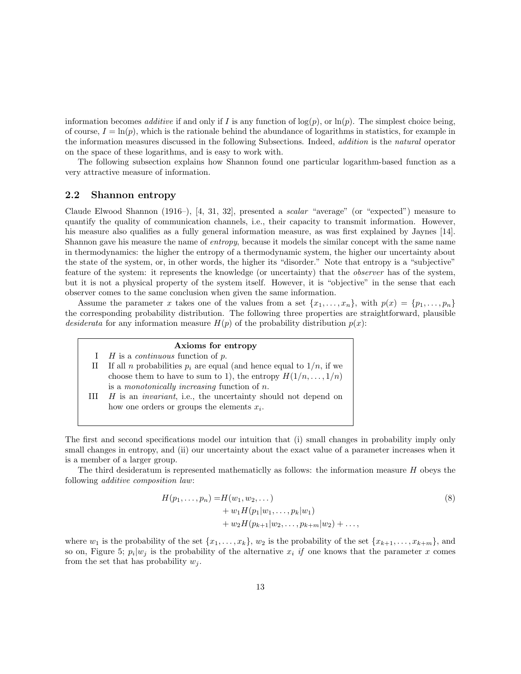information becomes *additive* if and only if I is any function of  $log(p)$ , or  $ln(p)$ . The simplest choice being, of course,  $I = \ln(p)$ , which is the rationale behind the abundance of logarithms in statistics, for example in the information measures discussed in the following Subsections. Indeed, addition is the natural operator on the space of these logarithms, and is easy to work with.

The following subsection explains how Shannon found one particular logarithm-based function as a very attractive measure of information.

#### 2.2 Shannon entropy

Claude Elwood Shannon (1916–), [4, 31, 32], presented a scalar "average" (or "expected") measure to quantify the quality of communication channels, i.e., their capacity to transmit information. However, his measure also qualifies as a fully general information measure, as was first explained by Jaynes [14]. Shannon gave his measure the name of entropy, because it models the similar concept with the same name in thermodynamics: the higher the entropy of a thermodynamic system, the higher our uncertainty about the state of the system, or, in other words, the higher its "disorder." Note that entropy is a "subjective" feature of the system: it represents the knowledge (or uncertainty) that the observer has of the system, but it is not a physical property of the system itself. However, it is "objective" in the sense that each observer comes to the same conclusion when given the same information.

Assume the parameter x takes one of the values from a set  $\{x_1, \ldots, x_n\}$ , with  $p(x) = \{p_1, \ldots, p_n\}$ the corresponding probability distribution. The following three properties are straightforward, plausible desiderata for any information measure  $H(p)$  of the probability distribution  $p(x)$ :

#### Axioms for entropy

- I  $H$  is a *continuous* function of  $p$ .
- II If all *n* probabilities  $p_i$  are equal (and hence equal to  $1/n$ , if we choose them to have to sum to 1), the entropy  $H(1/n, \ldots, 1/n)$ is a monotonically increasing function of n.
- III  $H$  is an *invariant*, i.e., the uncertainty should not depend on how one orders or groups the elements  $x_i$ .

The first and second specifications model our intuition that (i) small changes in probability imply only small changes in entropy, and (ii) our uncertainty about the exact value of a parameter increases when it is a member of a larger group.

The third desideratum is represented mathematicity as follows: the information measure H obeys the following additive composition law:

$$
H(p_1, ..., p_n) = H(w_1, w_2, ...)
$$
  
+  $w_1 H(p_1 | w_1, ..., p_k | w_1)$   
+  $w_2 H(p_{k+1} | w_2, ..., p_{k+m} | w_2) + ...,$  (8)

where  $w_1$  is the probability of the set  $\{x_1, \ldots, x_k\}$ ,  $w_2$  is the probability of the set  $\{x_{k+1}, \ldots, x_{k+m}\}$ , and so on, Figure 5;  $p_i|w_j$  is the probability of the alternative  $x_i$  if one knows that the parameter x comes from the set that has probability  $w_i$ .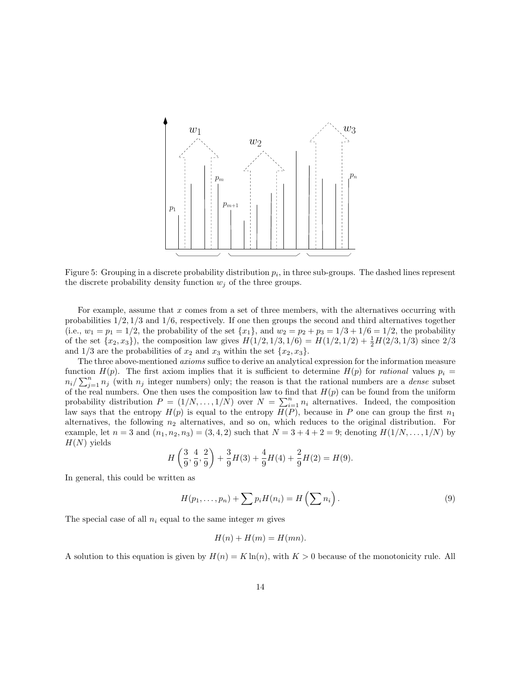

Figure 5: Grouping in a discrete probability distribution  $p_i$ , in three sub-groups. The dashed lines represent the discrete probability density function  $w_i$  of the three groups.

For example, assume that  $x$  comes from a set of three members, with the alternatives occurring with probabilities  $1/2$ ,  $1/3$  and  $1/6$ , respectively. If one then groups the second and third alternatives together (i.e.,  $w_1 = p_1 = 1/2$ , the probability of the set  $\{x_1\}$ , and  $w_2 = p_2 + p_3 = 1/3 + 1/6 = 1/2$ , the probability of the set  $\{x_2, x_3\}$ , the composition law gives  $H(1/2, 1/3, 1/6) = H(1/2, 1/2) + \frac{1}{2}H(2/3, 1/3)$  since  $2/3$ and  $1/3$  are the probabilities of  $x_2$  and  $x_3$  within the set  $\{x_2, x_3\}.$ 

The three above-mentioned axioms suffice to derive an analytical expression for the information measure function  $H(p)$ . The first axiom implies that it is sufficient to determine  $H(p)$  for *rational* values  $p_i =$  $n_i/\sum_{j=1}^n n_j$  (with  $n_j$  integer numbers) only; the reason is that the rational numbers are a *dense* subset of the real numbers. One then uses the composition law to find that  $H(p)$  can be found from the uniform probability distribution  $P = (1/N, ..., 1/N)$  over  $N = \sum_{i=1}^{n} n_i$  alternatives. Indeed, the composition law says that the entropy  $H(p)$  is equal to the entropy  $H(P)$ , because in P one can group the first  $n_1$ alternatives, the following  $n_2$  alternatives, and so on, which reduces to the original distribution. For example, let  $n = 3$  and  $(n_1, n_2, n_3) = (3, 4, 2)$  such that  $N = 3 + 4 + 2 = 9$ ; denoting  $H(1/N, \ldots, 1/N)$  by  $H(N)$  yields

$$
H\left(\frac{3}{9},\frac{4}{9},\frac{2}{9}\right) + \frac{3}{9}H(3) + \frac{4}{9}H(4) + \frac{2}{9}H(2) = H(9).
$$

In general, this could be written as

$$
H(p_1,\ldots,p_n) + \sum p_i H(n_i) = H\left(\sum n_i\right).
$$
 (9)

The special case of all  $n_i$  equal to the same integer  $m$  gives

$$
H(n) + H(m) = H(mn).
$$

A solution to this equation is given by  $H(n) = K \ln(n)$ , with  $K > 0$  because of the monotonicity rule. All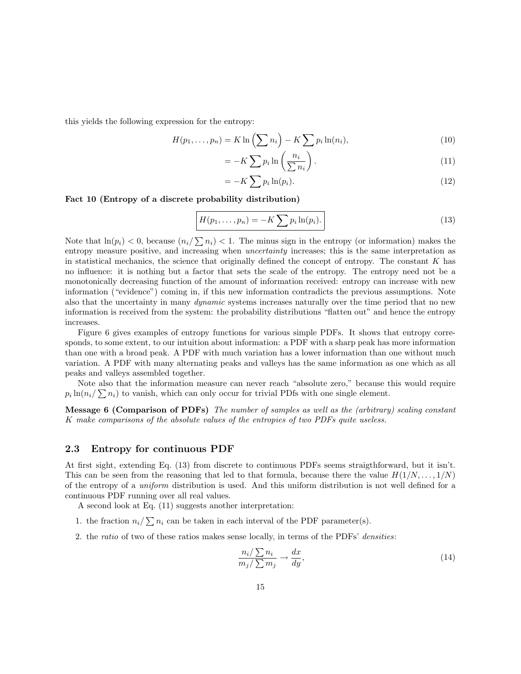this yields the following expression for the entropy:

$$
H(p_1, \ldots, p_n) = K \ln \left( \sum n_i \right) - K \sum p_i \ln(n_i), \tag{10}
$$

$$
= -K \sum p_i \ln \left(\frac{n_i}{\sum n_i}\right). \tag{11}
$$

$$
= -K \sum p_i \ln(p_i). \tag{12}
$$

#### Fact 10 (Entropy of a discrete probability distribution)

= −K

$$
H(p_1,\ldots,p_n) = -K \sum p_i \ln(p_i).
$$
 (13)

Note that  $\ln(p_i) < 0$ , because  $(n_i/\sum n_i) < 1$ . The minus sign in the entropy (or information) makes the entropy measure positive, and increasing when *uncertainty* increases; this is the same interpretation as in statistical mechanics, the science that originally defined the concept of entropy. The constant  $K$  has no influence: it is nothing but a factor that sets the scale of the entropy. The entropy need not be a monotonically decreasing function of the amount of information received: entropy can increase with new information ("evidence") coming in, if this new information contradicts the previous assumptions. Note also that the uncertainty in many *dynamic* systems increases naturally over the time period that no new information is received from the system: the probability distributions "flatten out" and hence the entropy increases.

Figure 6 gives examples of entropy functions for various simple PDFs. It shows that entropy corresponds, to some extent, to our intuition about information: a PDF with a sharp peak has more information than one with a broad peak. A PDF with much variation has a lower information than one without much variation. A PDF with many alternating peaks and valleys has the same information as one which as all peaks and valleys assembled together.

Note also that the information measure can never reach "absolute zero," because this would require  $p_i \ln(n_i/\sum n_i)$  to vanish, which can only occur for trivial PDfs with one single element.

Message 6 (Comparison of PDFs) The number of samples as well as the (arbitrary) scaling constant K make comparisons of the absolute values of the entropies of two PDFs quite useless.

#### 2.3 Entropy for continuous PDF

At first sight, extending Eq. (13) from discrete to continuous PDFs seems straigthforward, but it isn't. This can be seen from the reasoning that led to that formula, because there the value  $H(1/N, \ldots, 1/N)$ of the entropy of a uniform distribution is used. And this uniform distribution is not well defined for a continuous PDF running over all real values.

A second look at Eq. (11) suggests another interpretation:

- 1. the fraction  $n_i/\sum n_i$  can be taken in each interval of the PDF parameter(s).
- 2. the ratio of two of these ratios makes sense locally, in terms of the PDFs' densities:

$$
\frac{n_i/\sum n_i}{m_j/\sum m_j} \to \frac{dx}{dy},\tag{14}
$$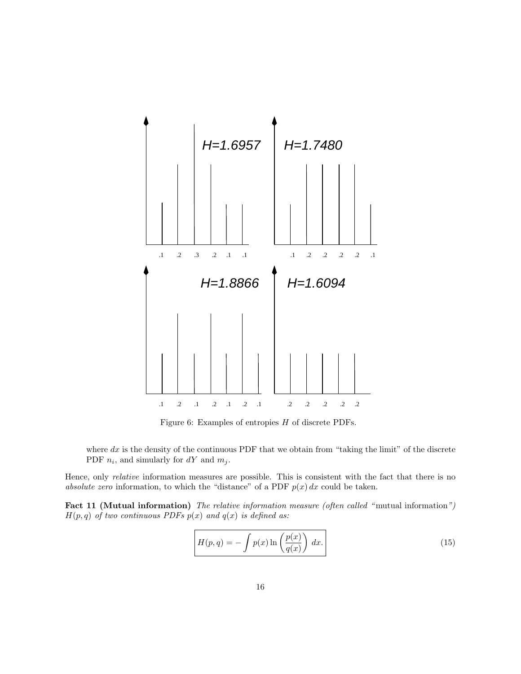

Figure 6: Examples of entropies H of discrete PDFs.

where  $dx$  is the density of the continuous PDF that we obtain from "taking the limit" of the discrete PDF  $n_i$ , and simularly for  $dY$  and  $m_j$ .

Hence, only relative information measures are possible. This is consistent with the fact that there is no absolute zero information, to which the "distance" of a PDF  $p(x) dx$  could be taken.

Fact 11 (Mutual information) The relative information measure (often called "mutual information")  $H(p,q)$  of two continuous PDFs  $p(x)$  and  $q(x)$  is defined as:

$$
H(p,q) = -\int p(x)\ln\left(\frac{p(x)}{q(x)}\right) dx.
$$
 (15)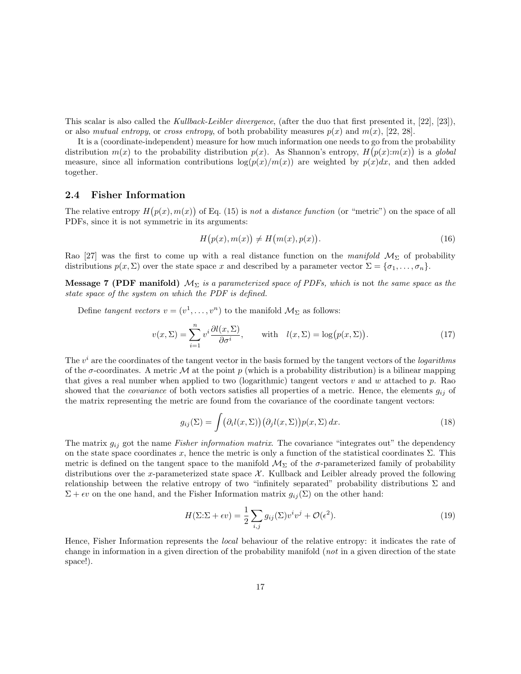This scalar is also called the Kullback-Leibler divergence, (after the duo that first presented it, [22], [23]), or also mutual entropy, or cross entropy, of both probability measures  $p(x)$  and  $m(x)$ , [22, 28].

It is a (coordinate-independent) measure for how much information one needs to go from the probability distribution  $m(x)$  to the probability distribution  $p(x)$ . As Shannon's entropy,  $H(p(x):m(x))$  is a global measure, since all information contributions  $\log(p(x)/m(x))$  are weighted by  $p(x)dx$ , and then added together.

#### 2.4 Fisher Information

The relative entropy  $H(p(x), m(x))$  of Eq. (15) is not a distance function (or "metric") on the space of all PDFs, since it is not symmetric in its arguments:

$$
H(p(x), m(x)) \neq H(m(x), p(x)).
$$
\n<sup>(16)</sup>

Rao [27] was the first to come up with a real distance function on the manifold  $\mathcal{M}_{\Sigma}$  of probability distributions  $p(x, \Sigma)$  over the state space x and described by a parameter vector  $\Sigma = {\sigma_1, \ldots, \sigma_n}$ .

**Message 7 (PDF manifold)**  $M_{\Sigma}$  is a parameterized space of PDFs, which is not the same space as the state space of the system on which the PDF is defined.

Define tangent vectors  $v = (v^1, \dots, v^n)$  to the manifold  $\mathcal{M}_{\Sigma}$  as follows:

$$
v(x,\Sigma) = \sum_{i=1}^{n} v^i \frac{\partial l(x,\Sigma)}{\partial \sigma^i}, \quad \text{with} \quad l(x,\Sigma) = \log(p(x,\Sigma)). \tag{17}
$$

The  $v^i$  are the coordinates of the tangent vector in the basis formed by the tangent vectors of the *logarithms* of the  $\sigma$ -coordinates. A metric M at the point p (which is a probability distribution) is a bilinear mapping that gives a real number when applied to two (logarithmic) tangent vectors  $v$  and  $w$  attached to  $p$ . Rao showed that the *covariance* of both vectors satisfies all properties of a metric. Hence, the elements  $g_{ij}$  of the matrix representing the metric are found from the covariance of the coordinate tangent vectors:

$$
g_{ij}(\Sigma) = \int (\partial_i l(x, \Sigma)) (\partial_j l(x, \Sigma)) p(x, \Sigma) dx.
$$
 (18)

The matrix  $g_{ij}$  got the name *Fisher information matrix*. The covariance "integrates out" the dependency on the state space coordinates x, hence the metric is only a function of the statistical coordinates  $\Sigma$ . This metric is defined on the tangent space to the manifold  $\mathcal{M}_{\Sigma}$  of the  $\sigma$ -parameterized family of probability distributions over the x-parameterized state space  $\mathcal{X}$ . Kullback and Leibler already proved the following relationship between the relative entropy of two "infinitely separated" probability distributions  $\Sigma$  and  $\Sigma + \epsilon v$  on the one hand, and the Fisher Information matrix  $g_{ij}(\Sigma)$  on the other hand:

$$
H(\Sigma:\Sigma + \epsilon v) = \frac{1}{2} \sum_{i,j} g_{ij}(\Sigma) v^i v^j + \mathcal{O}(\epsilon^2).
$$
 (19)

Hence, Fisher Information represents the local behaviour of the relative entropy: it indicates the rate of change in information in a given direction of the probability manifold (not in a given direction of the state space!).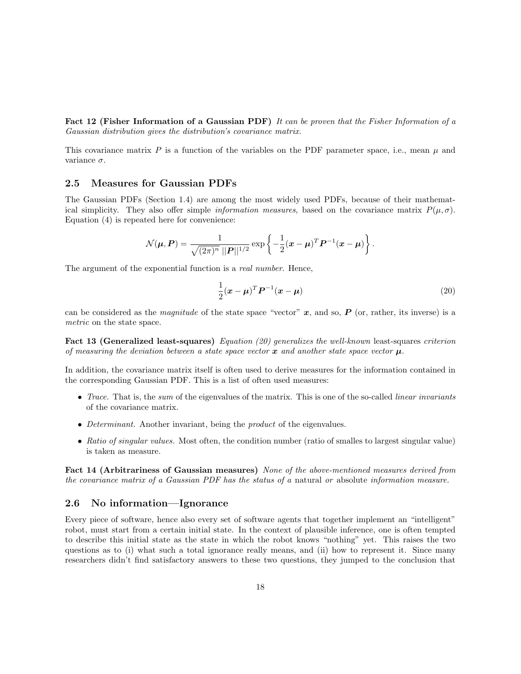Fact 12 (Fisher Information of a Gaussian PDF) It can be proven that the Fisher Information of a Gaussian distribution gives the distribution's covariance matrix.

This covariance matrix  $P$  is a function of the variables on the PDF parameter space, i.e., mean  $\mu$  and variance  $\sigma$ .

### 2.5 Measures for Gaussian PDFs

The Gaussian PDFs (Section 1.4) are among the most widely used PDFs, because of their mathematical simplicity. They also offer simple *information measures*, based on the covariance matrix  $P(\mu, \sigma)$ . Equation (4) is repeated here for convenience:

$$
\mathcal{N}(\boldsymbol{\mu}, \boldsymbol{P}) = \frac{1}{\sqrt{(2\pi)^n} ||\boldsymbol{P}||^{1/2}} \exp \left\{-\frac{1}{2}(\boldsymbol{x} - \boldsymbol{\mu})^T \boldsymbol{P}^{-1}(\boldsymbol{x} - \boldsymbol{\mu})\right\}.
$$

The argument of the exponential function is a real number. Hence,

$$
\frac{1}{2}(\boldsymbol{x} - \boldsymbol{\mu})^T \boldsymbol{P}^{-1}(\boldsymbol{x} - \boldsymbol{\mu})
$$
\n(20)

can be considered as the *magnitude* of the state space "vector"  $x$ , and so,  $P$  (or, rather, its inverse) is a metric on the state space.

Fact 13 (Generalized least-squares) Equation (20) generalizes the well-known least-squares criterion of measuring the deviation between a state space vector  $\boldsymbol{x}$  and another state space vector  $\boldsymbol{\mu}$ .

In addition, the covariance matrix itself is often used to derive measures for the information contained in the corresponding Gaussian PDF. This is a list of often used measures:

- Trace. That is, the sum of the eigenvalues of the matrix. This is one of the so-called *linear invariants* of the covariance matrix.
- Determinant. Another invariant, being the *product* of the eigenvalues.
- Ratio of singular values. Most often, the condition number (ratio of smalles to largest singular value) is taken as measure.

Fact 14 (Arbitrariness of Gaussian measures) None of the above-mentioned measures derived from the covariance matrix of a Gaussian PDF has the status of a natural or absolute information measure.

#### 2.6 No information—Ignorance

Every piece of software, hence also every set of software agents that together implement an "intelligent" robot, must start from a certain initial state. In the context of plausible inference, one is often tempted to describe this initial state as the state in which the robot knows "nothing" yet. This raises the two questions as to (i) what such a total ignorance really means, and (ii) how to represent it. Since many researchers didn't find satisfactory answers to these two questions, they jumped to the conclusion that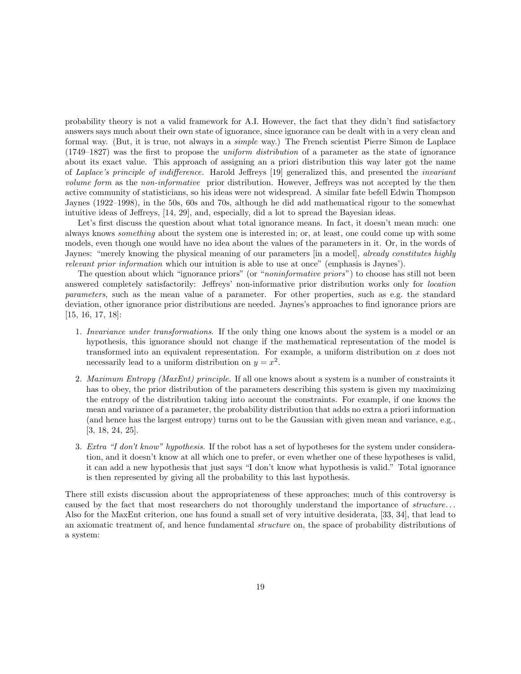probability theory is not a valid framework for A.I. However, the fact that they didn't find satisfactory answers says much about their own state of ignorance, since ignorance can be dealt with in a very clean and formal way. (But, it is true, not always in a simple way.) The French scientist Pierre Simon de Laplace (1749–1827) was the first to propose the uniform distribution of a parameter as the state of ignorance about its exact value. This approach of assigning an a priori distribution this way later got the name of Laplace's principle of indifference. Harold Jeffreys [19] generalized this, and presented the invariant volume form as the non-informative prior distribution. However, Jeffreys was not accepted by the then active community of statisticians, so his ideas were not widespread. A similar fate befell Edwin Thompson Jaynes (1922–1998), in the 50s, 60s and 70s, although he did add mathematical rigour to the somewhat intuitive ideas of Jeffreys, [14, 29], and, especially, did a lot to spread the Bayesian ideas.

Let's first discuss the question about what total ignorance means. In fact, it doesn't mean much: one always knows something about the system one is interested in; or, at least, one could come up with some models, even though one would have no idea about the values of the parameters in it. Or, in the words of Jaynes: "merely knowing the physical meaning of our parameters [in a model], *already constitutes highly* relevant prior information which our intuition is able to use at once" (emphasis is Jaynes').

The question about which "ignorance priors" (or "*noninformative priors*") to choose has still not been answered completely satisfactorily: Jeffreys' non-informative prior distribution works only for location parameters, such as the mean value of a parameter. For other properties, such as e.g. the standard deviation, other ignorance prior distributions are needed. Jaynes's approaches to find ignorance priors are [15, 16, 17, 18]:

- 1. Invariance under transformations. If the only thing one knows about the system is a model or an hypothesis, this ignorance should not change if the mathematical representation of the model is transformed into an equivalent representation. For example, a uniform distribution on x does not necessarily lead to a uniform distribution on  $y = x^2$ .
- 2. Maximum Entropy (MaxEnt) principle. If all one knows about a system is a number of constraints it has to obey, the prior distribution of the parameters describing this system is given my maximizing the entropy of the distribution taking into account the constraints. For example, if one knows the mean and variance of a parameter, the probability distribution that adds no extra a priori information (and hence has the largest entropy) turns out to be the Gaussian with given mean and variance, e.g., [3, 18, 24, 25].
- 3. Extra "I don't know" hypothesis. If the robot has a set of hypotheses for the system under consideration, and it doesn't know at all which one to prefer, or even whether one of these hypotheses is valid, it can add a new hypothesis that just says "I don't know what hypothesis is valid." Total ignorance is then represented by giving all the probability to this last hypothesis.

There still exists discussion about the appropriateness of these approaches; much of this controversy is caused by the fact that most researchers do not thoroughly understand the importance of *structure*... Also for the MaxEnt criterion, one has found a small set of very intuitive desiderata, [33, 34], that lead to an axiomatic treatment of, and hence fundamental structure on, the space of probability distributions of a system: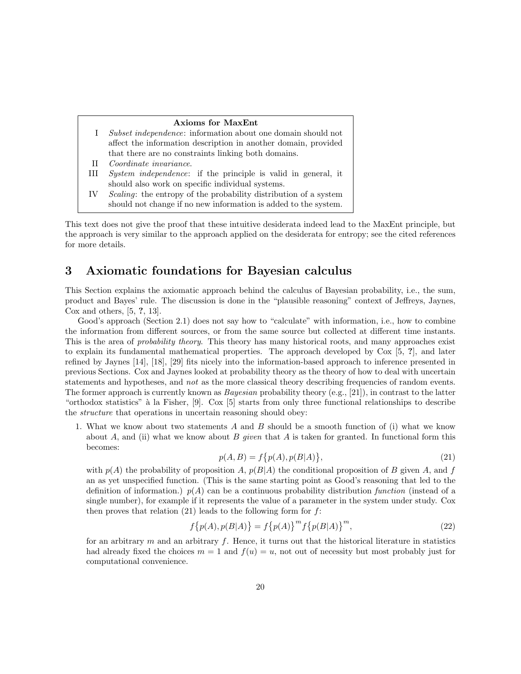#### Axioms for MaxEnt

- I Subset independence: information about one domain should not affect the information description in another domain, provided that there are no constraints linking both domains.
- II Coordinate invariance.
- III System independence: if the principle is valid in general, it should also work on specific individual systems.
- IV Scaling: the entropy of the probability distribution of a system should not change if no new information is added to the system.

This text does not give the proof that these intuitive desiderata indeed lead to the MaxEnt principle, but the approach is very similar to the approach applied on the desiderata for entropy; see the cited references for more details.

## 3 Axiomatic foundations for Bayesian calculus

This Section explains the axiomatic approach behind the calculus of Bayesian probability, i.e., the sum, product and Bayes' rule. The discussion is done in the "plausible reasoning" context of Jeffreys, Jaynes, Cox and others, [5, ?, 13].

Good's approach (Section 2.1) does not say how to "calculate" with information, i.e., how to combine the information from different sources, or from the same source but collected at different time instants. This is the area of *probability theory*. This theory has many historical roots, and many approaches exist to explain its fundamental mathematical properties. The approach developed by Cox [5, ?], and later refined by Jaynes [14], [18], [29] fits nicely into the information-based approach to inference presented in previous Sections. Cox and Jaynes looked at probability theory as the theory of how to deal with uncertain statements and hypotheses, and *not* as the more classical theory describing frequencies of random events. The former approach is currently known as *Bayesian* probability theory (e.g., [21]), in contrast to the latter "orthodox statistics" à la Fisher, [9]. Cox [5] starts from only three functional relationships to describe the structure that operations in uncertain reasoning should obey:

1. What we know about two statements A and B should be a smooth function of (i) what we know about A, and (ii) what we know about B given that A is taken for granted. In functional form this becomes:

$$
p(A, B) = f\{p(A), p(B|A)\},\tag{21}
$$

with  $p(A)$  the probability of proposition A,  $p(B|A)$  the conditional proposition of B given A, and f an as yet unspecified function. (This is the same starting point as Good's reasoning that led to the definition of information.)  $p(A)$  can be a continuous probability distribution function (instead of a single number), for example if it represents the value of a parameter in the system under study. Cox then proves that relation  $(21)$  leads to the following form for f:

$$
f\{p(A), p(B|A)\} = f\{p(A)\}^{m} f\{p(B|A)\}^{m},
$$
\n(22)

for an arbitrary m and an arbitrary f. Hence, it turns out that the historical literature in statistics had already fixed the choices  $m = 1$  and  $f(u) = u$ , not out of necessity but most probably just for computational convenience.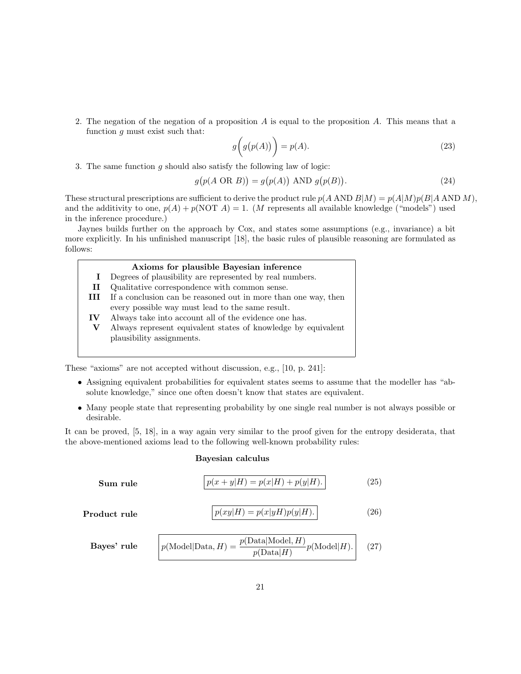2. The negation of the negation of a proposition  $A$  is equal to the proposition  $A$ . This means that a function  $g$  must exist such that:

$$
g\big(g(p(A))\bigg) = p(A). \tag{23}
$$

3. The same function  $q$  should also satisfy the following law of logic:

$$
g(p(A \text{ OR } B)) = g(p(A)) \text{ AND } g(p(B)).
$$
\n(24)

These structural prescriptions are sufficient to derive the product rule  $p(A \text{ AND } B|M) = p(A|M)p(B|A \text{ AND } M)$ , and the additivity to one,  $p(A) + p(NOT A) = 1$ . (*M* represents all available knowledge ("models") used in the inference procedure.)

Jaynes builds further on the approach by Cox, and states some assumptions (e.g., invariance) a bit more explicitly. In his unfinished manuscript [18], the basic rules of plausible reasoning are formulated as follows:

#### Axioms for plausible Bayesian inference

I Degrees of plausibility are represented by real numbers. II Qualitative correspondence with common sense. III If a conclusion can be reasoned out in more than one way, then every possible way must lead to the same result. IV Always take into account all of the evidence one has. V Always represent equivalent states of knowledge by equivalent plausibility assignments.

These "axioms" are not accepted without discussion, e.g., [10, p. 241]:

- Assigning equivalent probabilities for equivalent states seems to assume that the modeller has "absolute knowledge," since one often doesn't know that states are equivalent.
- Many people state that representing probability by one single real number is not always possible or desirable.

It can be proved, [5, 18], in a way again very similar to the proof given for the entropy desiderata, that the above-mentioned axioms lead to the following well-known probability rules:

#### Bayesian calculus

**Sum rule** 
$$
p(x + y|H) = p(x|H) + p(y|H).
$$
 (25)  
**Product rule** 
$$
p(xy|H) = p(x|yH)p(y|H).
$$
 (26)  
**Bayes' rule** 
$$
p(\text{Model}|\text{Data}, H) = \frac{p(\text{Data}|\text{Model}, H)}{p(\text{Data}|H)}p(\text{Model}|H).
$$
 (27)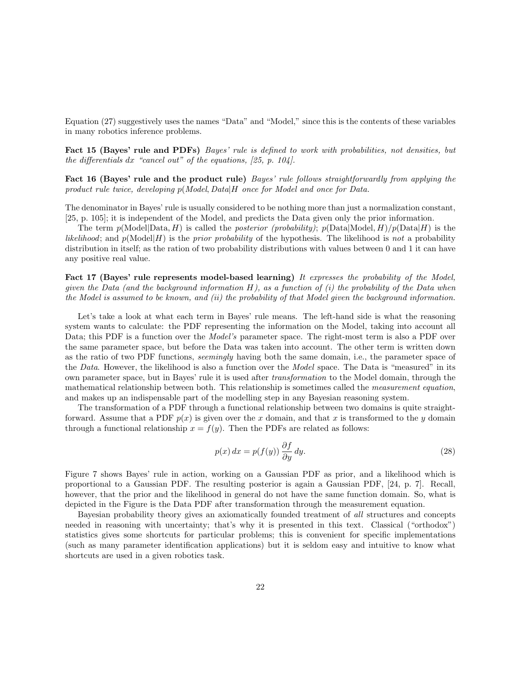Equation (27) suggestively uses the names "Data" and "Model," since this is the contents of these variables in many robotics inference problems.

Fact 15 (Bayes' rule and PDFs) Bayes' rule is defined to work with probabilities, not densities, but the differentials  $dx$  "cancel out" of the equations, [25, p. 104].

Fact 16 (Bayes' rule and the product rule) Bayes' rule follows straightforwardly from applying the product rule twice, developing  $p(Model, Data|H)$  once for Model and once for Data.

The denominator in Bayes' rule is usually considered to be nothing more than just a normalization constant, [25, p. 105]; it is independent of the Model, and predicts the Data given only the prior information.

The term  $p(\text{Model}|\text{Data}, H)$  is called the *posterior (probability)*;  $p(\text{Data}|\text{Model}, H)/p(\text{Data}|H)$  is the *likelihood*; and  $p(\text{Model}|H)$  is the *prior probability* of the hypothesis. The likelihood is not a probability distribution in itself; as the ration of two probability distributions with values between 0 and 1 it can have any positive real value.

Fact 17 (Bayes' rule represents model-based learning) It expresses the probability of the Model, given the Data (and the background information  $H$ ), as a function of (i) the probability of the Data when the Model is assumed to be known, and (ii) the probability of that Model given the background information.

Let's take a look at what each term in Bayes' rule means. The left-hand side is what the reasoning system wants to calculate: the PDF representing the information on the Model, taking into account all Data; this PDF is a function over the *Model's* parameter space. The right-most term is also a PDF over the same parameter space, but before the Data was taken into account. The other term is written down as the ratio of two PDF functions, seemingly having both the same domain, i.e., the parameter space of the Data. However, the likelihood is also a function over the Model space. The Data is "measured" in its own parameter space, but in Bayes' rule it is used after transformation to the Model domain, through the mathematical relationship between both. This relationship is sometimes called the measurement equation, and makes up an indispensable part of the modelling step in any Bayesian reasoning system.

The transformation of a PDF through a functional relationship between two domains is quite straightforward. Assume that a PDF  $p(x)$  is given over the x domain, and that x is transformed to the y domain through a functional relationship  $x = f(y)$ . Then the PDFs are related as follows:

$$
p(x) dx = p(f(y)) \frac{\partial f}{\partial y} dy.
$$
\n(28)

Figure 7 shows Bayes' rule in action, working on a Gaussian PDF as prior, and a likelihood which is proportional to a Gaussian PDF. The resulting posterior is again a Gaussian PDF, [24, p. 7]. Recall, however, that the prior and the likelihood in general do not have the same function domain. So, what is depicted in the Figure is the Data PDF after transformation through the measurement equation.

Bayesian probability theory gives an axiomatically founded treatment of all structures and concepts needed in reasoning with uncertainty; that's why it is presented in this text. Classical ("orthodox") statistics gives some shortcuts for particular problems; this is convenient for specific implementations (such as many parameter identification applications) but it is seldom easy and intuitive to know what shortcuts are used in a given robotics task.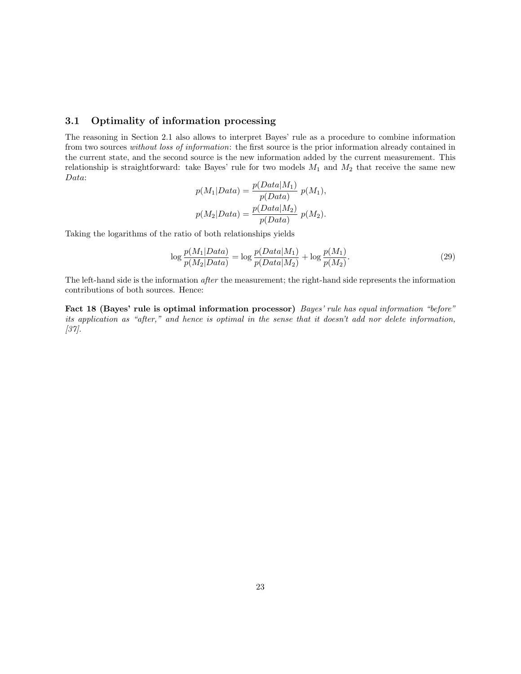#### 3.1 Optimality of information processing

The reasoning in Section 2.1 also allows to interpret Bayes' rule as a procedure to combine information from two sources without loss of information: the first source is the prior information already contained in the current state, and the second source is the new information added by the current measurement. This relationship is straightforward: take Bayes' rule for two models  $M_1$  and  $M_2$  that receive the same new Data:

$$
p(M_1|Data) = \frac{p(Data|M_1)}{p(Data)} p(M_1),
$$
  

$$
p(M_2|Data) = \frac{p(Data|M_2)}{p(Data)} p(M_2).
$$

Taking the logarithms of the ratio of both relationships yields

$$
\log \frac{p(M_1|Data)}{p(M_2|Data)} = \log \frac{p(Data|M_1)}{p(Data|M_2)} + \log \frac{p(M_1)}{p(M_2)}.
$$
\n(29)

The left-hand side is the information *after* the measurement; the right-hand side represents the information contributions of both sources. Hence:

Fact 18 (Bayes' rule is optimal information processor) Bayes' rule has equal information "before" its application as "after," and hence is optimal in the sense that it doesn't add nor delete information, [37].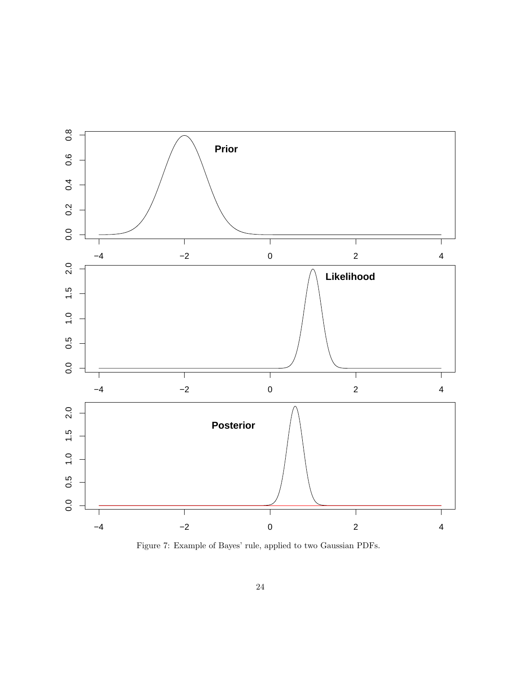

Figure 7: Example of Bayes' rule, applied to two Gaussian PDFs.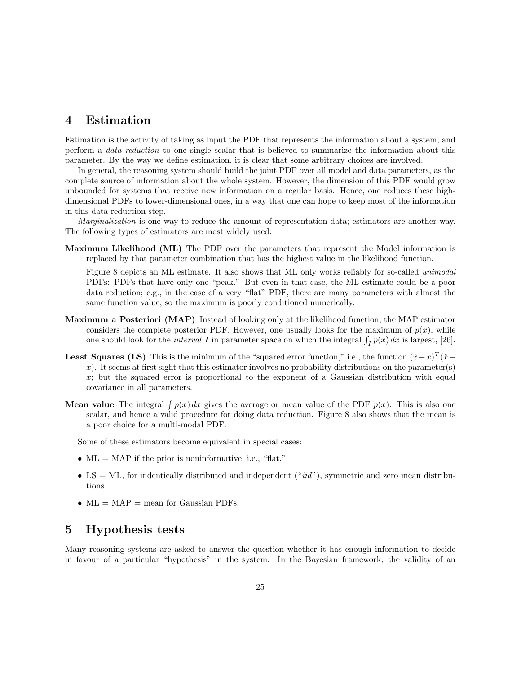## 4 Estimation

Estimation is the activity of taking as input the PDF that represents the information about a system, and perform a data reduction to one single scalar that is believed to summarize the information about this parameter. By the way we define estimation, it is clear that some arbitrary choices are involved.

In general, the reasoning system should build the joint PDF over all model and data parameters, as the complete source of information about the whole system. However, the dimension of this PDF would grow unbounded for systems that receive new information on a regular basis. Hence, one reduces these highdimensional PDFs to lower-dimensional ones, in a way that one can hope to keep most of the information in this data reduction step.

*Marginalization* is one way to reduce the amount of representation data; estimators are another way. The following types of estimators are most widely used:

Maximum Likelihood (ML) The PDF over the parameters that represent the Model information is replaced by that parameter combination that has the highest value in the likelihood function.

Figure 8 depicts an ML estimate. It also shows that ML only works reliably for so-called unimodal PDFs: PDFs that have only one "peak." But even in that case, the ML estimate could be a poor data reduction; e.g., in the case of a very "flat" PDF, there are many parameters with almost the same function value, so the maximum is poorly conditioned numerically.

- Maximum a Posteriori (MAP) Instead of looking only at the likelihood function, the MAP estimator considers the complete posterior PDF. However, one usually looks for the maximum of  $p(x)$ , while one should look for the *interval* I in parameter space on which the integral  $\int_I p(x) dx$  is largest, [26].
- **Least Squares (LS)** This is the minimum of the "squared error function," i.e., the function  $(\hat{x}-x)^T(\hat{x}-x)^T(\hat{x}-x)^T$ x). It seems at first sight that this estimator involves no probability distributions on the parameter(s)  $x$ ; but the squared error is proportional to the exponent of a Gaussian distribution with equal covariance in all parameters.
- **Mean value** The integral  $\int p(x) dx$  gives the average or mean value of the PDF  $p(x)$ . This is also one scalar, and hence a valid procedure for doing data reduction. Figure 8 also shows that the mean is a poor choice for a multi-modal PDF.

Some of these estimators become equivalent in special cases:

- $ML = MAP$  if the prior is noninformative, i.e., "flat."
- LS = ML, for indentically distributed and independent  $("iid")$ , symmetric and zero mean distributions.
- $ML = MAP = mean$  for Gaussian PDFs.

## 5 Hypothesis tests

Many reasoning systems are asked to answer the question whether it has enough information to decide in favour of a particular "hypothesis" in the system. In the Bayesian framework, the validity of an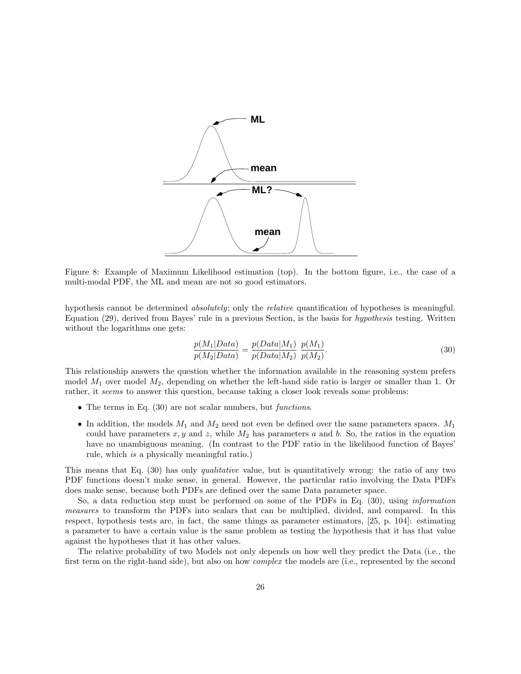

Figure 8: Example of Maximum Likelihood estimation (top). In the bottom figure, i.e., the case of a multi-modal PDF, the ML and mean are not so good estimators.

hypothesis cannot be determined absolutely; only the relative quantification of hypotheses is meaningful. Equation (29), derived from Bayes' rule in a previous Section, is the basis for hypothesis testing. Written without the logarithms one gets:

$$
\frac{p(M_1|Data)}{p(M_2|Data)} = \frac{p(Data|M_1)}{p(Data|M_2)} \frac{p(M_1)}{p(M_2)}.
$$
\n(30)

This relationship answers the question whether the information available in the reasoning system prefers model  $M_1$  over model  $M_2$ , depending on whether the left-hand side ratio is larger or smaller than 1. Or rather, it seems to answer this question, because taking a closer look reveals some problems:

- The terms in Eq.  $(30)$  are not scalar numbers, but *functions*.
- In addition, the models  $M_1$  and  $M_2$  need not even be defined over the same parameters spaces.  $M_1$ could have parameters x, y and z, while  $M_2$  has parameters a and b. So, the ratios in the equation have no unambiguous meaning. (In contrast to the PDF ratio in the likelihood function of Bayes' rule, which is a physically meaningful ratio.)

This means that Eq. (30) has only *qualitative* value, but is quantitatively wrong: the ratio of any two PDF functions doesn't make sense, in general. However, the particular ratio involving the Data PDFs does make sense, because both PDFs are defined over the same Data parameter space.

So, a data reduction step must be performed on some of the PDFs in Eq. (30), using information measures to transform the PDFs into scalars that can be multiplied, divided, and compared. In this respect, hypothesis tests are, in fact, the same things as parameter estimators, [25, p. 104]: estimating a parameter to have a certain value is the same problem as testing the hypothesis that it has that value against the hypotheses that it has other values.

The relative probability of two Models not only depends on how well they predict the Data (i.e., the first term on the right-hand side), but also on how complex the models are (i.e., represented by the second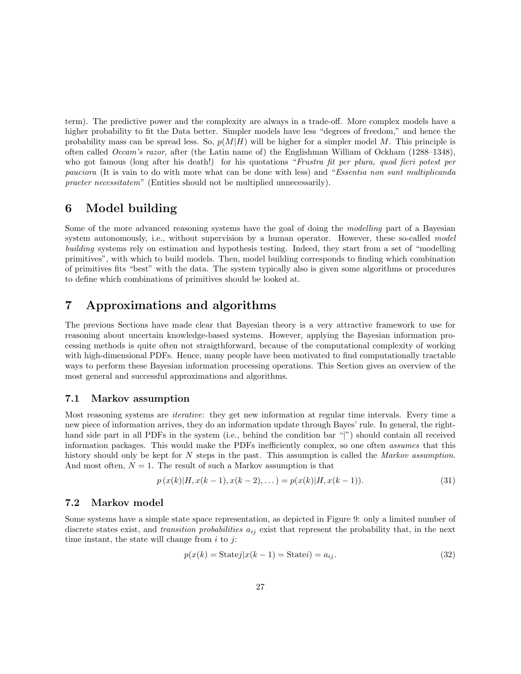term). The predictive power and the complexity are always in a trade-off. More complex models have a higher probability to fit the Data better. Simpler models have less "degrees of freedom," and hence the probability mass can be spread less. So,  $p(M|H)$  will be higher for a simpler model M. This principle is often called Occam's razor, after (the Latin name of) the Englishman William of Ockham (1288–1348), who got famous (long after his death!) for his quotations "Frustra fit per plura, quod fieri potest per pauciora (It is vain to do with more what can be done with less) and "Essentia non sunt multiplicanda praeter necessitatem" (Entities should not be multiplied unnecessarily).

## 6 Model building

Some of the more advanced reasoning systems have the goal of doing the modelling part of a Bayesian system autonomously, i.e., without supervision by a human operator. However, these so-called model building systems rely on estimation and hypothesis testing. Indeed, they start from a set of "modelling primitives", with which to build models. Then, model building corresponds to finding which combination of primitives fits "best" with the data. The system typically also is given some algorithms or procedures to define which combinations of primitives should be looked at.

## 7 Approximations and algorithms

The previous Sections have made clear that Bayesian theory is a very attractive framework to use for reasoning about uncertain knowledge-based systems. However, applying the Bayesian information processing methods is quite often not straigthforward, because of the computational complexity of working with high-dimensional PDFs. Hence, many people have been motivated to find computationally tractable ways to perform these Bayesian information processing operations. This Section gives an overview of the most general and successful approximations and algorithms.

#### 7.1 Markov assumption

Most reasoning systems are iterative: they get new information at regular time intervals. Every time a new piece of information arrives, they do an information update through Bayes' rule. In general, the righthand side part in all PDFs in the system (i.e., behind the condition bar "|") should contain all received information packages. This would make the PDFs inefficiently complex, so one often assumes that this history should only be kept for N steps in the past. This assumption is called the Markov assumption. And most often,  $N = 1$ . The result of such a Markov assumption is that

$$
p(x(k)|H, x(k-1), x(k-2), \dots) = p(x(k)|H, x(k-1)).
$$
\n(31)

### 7.2 Markov model

Some systems have a simple state space representation, as depicted in Figure 9: only a limited number of discrete states exist, and *transition probabilities*  $a_{ij}$  exist that represent the probability that, in the next time instant, the state will change from  $i$  to  $j$ :

$$
p(x(k) = \text{Statej}|x(k-1) = \text{Statej}) = a_{ij}.
$$
\n(32)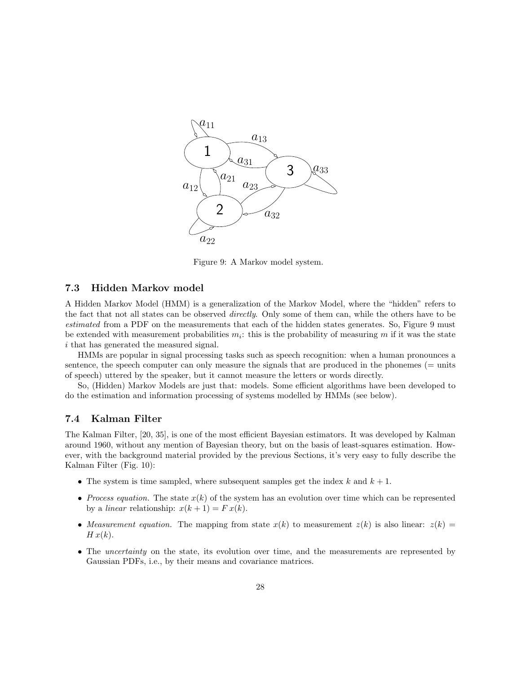

Figure 9: A Markov model system.

#### 7.3 Hidden Markov model

A Hidden Markov Model (HMM) is a generalization of the Markov Model, where the "hidden" refers to the fact that not all states can be observed *directly*. Only some of them can, while the others have to be estimated from a PDF on the measurements that each of the hidden states generates. So, Figure 9 must be extended with measurement probabilities  $m_i$ : this is the probability of measuring m if it was the state i that has generated the measured signal.

HMMs are popular in signal processing tasks such as speech recognition: when a human pronounces a sentence, the speech computer can only measure the signals that are produced in the phonemes (= units of speech) uttered by the speaker, but it cannot measure the letters or words directly.

So, (Hidden) Markov Models are just that: models. Some efficient algorithms have been developed to do the estimation and information processing of systems modelled by HMMs (see below).

## 7.4 Kalman Filter

The Kalman Filter, [20, 35], is one of the most efficient Bayesian estimators. It was developed by Kalman around 1960, without any mention of Bayesian theory, but on the basis of least-squares estimation. However, with the background material provided by the previous Sections, it's very easy to fully describe the Kalman Filter (Fig. 10):

- The system is time sampled, where subsequent samples get the index  $k$  and  $k + 1$ .
- Process equation. The state  $x(k)$  of the system has an evolution over time which can be represented by a *linear* relationship:  $x(k + 1) = F x(k)$ .
- Measurement equation. The mapping from state  $x(k)$  to measurement  $z(k)$  is also linear:  $z(k)$  =  $H x(k)$ .
- The *uncertainty* on the state, its evolution over time, and the measurements are represented by Gaussian PDFs, i.e., by their means and covariance matrices.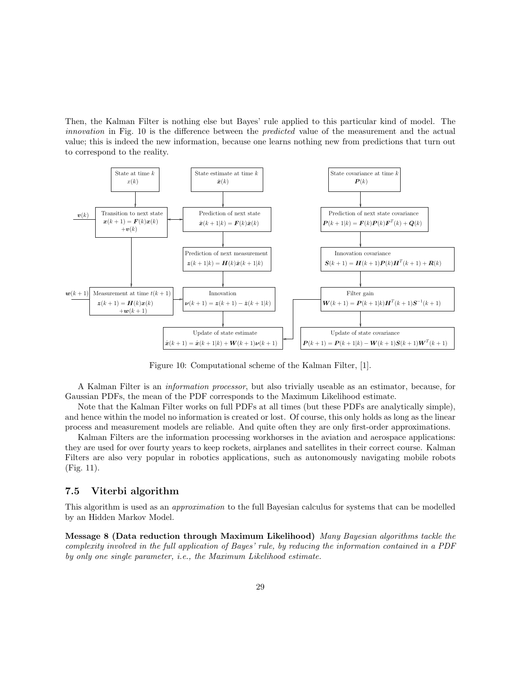Then, the Kalman Filter is nothing else but Bayes' rule applied to this particular kind of model. The innovation in Fig. 10 is the difference between the *predicted* value of the measurement and the actual value; this is indeed the new information, because one learns nothing new from predictions that turn out to correspond to the reality.



Figure 10: Computational scheme of the Kalman Filter, [1].

A Kalman Filter is an information processor, but also trivially useable as an estimator, because, for Gaussian PDFs, the mean of the PDF corresponds to the Maximum Likelihood estimate.

Note that the Kalman Filter works on full PDFs at all times (but these PDFs are analytically simple), and hence within the model no information is created or lost. Of course, this only holds as long as the linear process and measurement models are reliable. And quite often they are only first-order approximations.

Kalman Filters are the information processing workhorses in the aviation and aerospace applications: they are used for over fourty years to keep rockets, airplanes and satellites in their correct course. Kalman Filters are also very popular in robotics applications, such as autonomously navigating mobile robots (Fig. 11).

### 7.5 Viterbi algorithm

This algorithm is used as an approximation to the full Bayesian calculus for systems that can be modelled by an Hidden Markov Model.

Message 8 (Data reduction through Maximum Likelihood) Many Bayesian algorithms tackle the complexity involved in the full application of Bayes' rule, by reducing the information contained in a PDF by only one single parameter, i.e., the Maximum Likelihood estimate.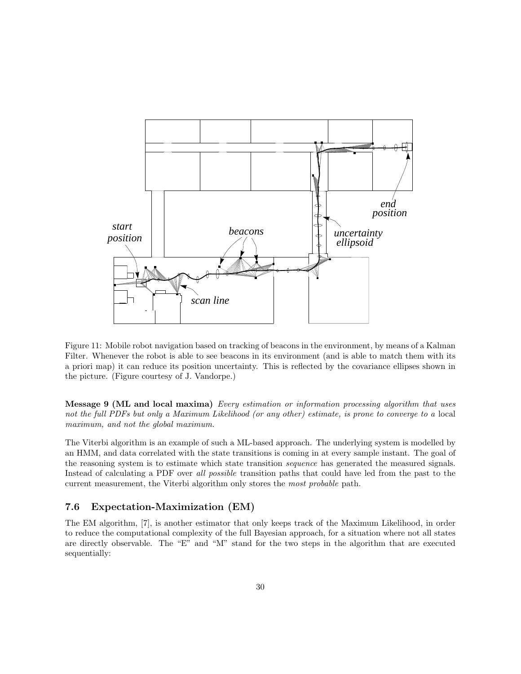

Figure 11: Mobile robot navigation based on tracking of beacons in the environment, by means of a Kalman Filter. Whenever the robot is able to see beacons in its environment (and is able to match them with its a priori map) it can reduce its position uncertainty. This is reflected by the covariance ellipses shown in the picture. (Figure courtesy of J. Vandorpe.)

Message 9 (ML and local maxima) Every estimation or information processing algorithm that uses not the full PDFs but only a Maximum Likelihood (or any other) estimate, is prone to converge to a local maximum, and not the global maximum.

The Viterbi algorithm is an example of such a ML-based approach. The underlying system is modelled by an HMM, and data correlated with the state transitions is coming in at every sample instant. The goal of the reasoning system is to estimate which state transition sequence has generated the measured signals. Instead of calculating a PDF over all possible transition paths that could have led from the past to the current measurement, the Viterbi algorithm only stores the most probable path.

### 7.6 Expectation-Maximization (EM)

The EM algorithm, [7], is another estimator that only keeps track of the Maximum Likelihood, in order to reduce the computational complexity of the full Bayesian approach, for a situation where not all states are directly observable. The "E" and "M" stand for the two steps in the algorithm that are executed sequentially: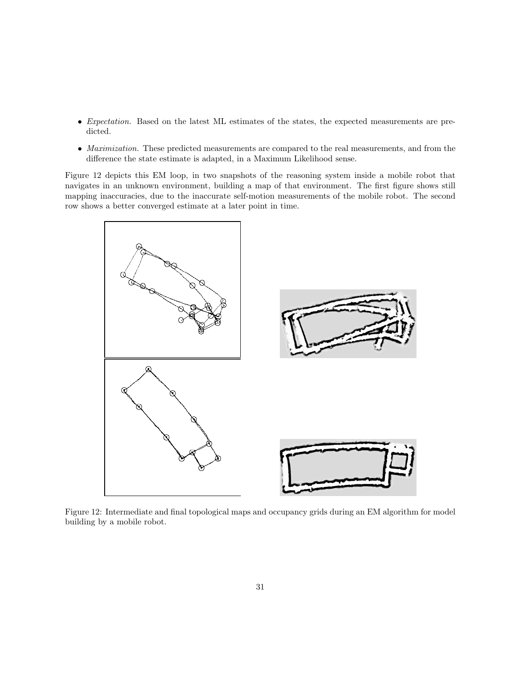- Expectation. Based on the latest ML estimates of the states, the expected measurements are predicted.
- Maximization. These predicted measurements are compared to the real measurements, and from the difference the state estimate is adapted, in a Maximum Likelihood sense.

Figure 12 depicts this EM loop, in two snapshots of the reasoning system inside a mobile robot that navigates in an unknown environment, building a map of that environment. The first figure shows still mapping inaccuracies, due to the inaccurate self-motion measurements of the mobile robot. The second row shows a better converged estimate at a later point in time.



Figure 12: Intermediate and final topological maps and occupancy grids during an EM algorithm for model building by a mobile robot.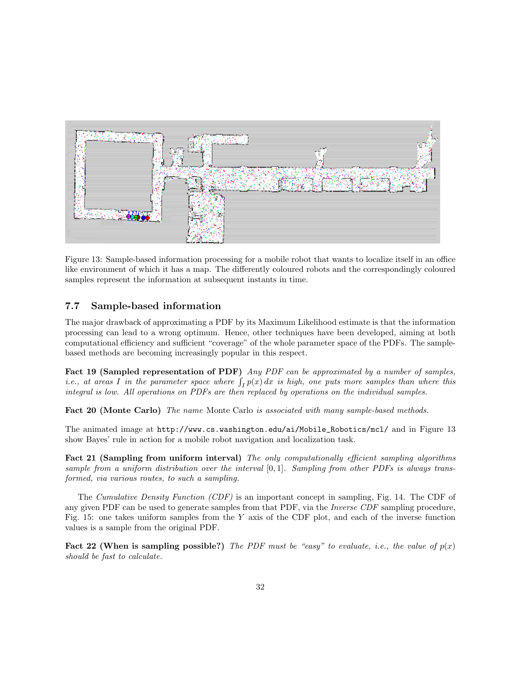

Figure 13: Sample-based information processing for a mobile robot that wants to localize itself in an office like environment of which it has a map. The differently coloured robots and the correspondingly coloured samples represent the information at subsequent instants in time.

### 7.7 Sample-based information

The major drawback of approximating a PDF by its Maximum Likelihood estimate is that the information processing can lead to a wrong optimum. Hence, other techniques have been developed, aiming at both computational efficiency and sufficient "coverage" of the whole parameter space of the PDFs. The samplebased methods are becoming increasingly popular in this respect.

Fact 19 (Sampled representation of PDF) Any PDF can be approximated by a number of samples, *i.e.*, at areas I in the parameter space where  $\int_I p(x) dx$  is high, one puts more samples than where this integral is low. All operations on PDFs are then replaced by operations on the individual samples.

Fact 20 (Monte Carlo) The name Monte Carlo is associated with many sample-based methods.

The animated image at http://www.cs.washington.edu/ai/Mobile\_Robotics/mcl/ and in Figure 13 show Bayes' rule in action for a mobile robot navigation and localization task.

Fact 21 (Sampling from uniform interval) The only computationally efficient sampling algorithms sample from a uniform distribution over the interval  $[0, 1]$ . Sampling from other PDFs is always transformed, via various routes, to such a sampling.

The Cumulative Density Function (CDF) is an important concept in sampling, Fig. 14. The CDF of any given PDF can be used to generate samples from that PDF, via the *Inverse CDF* sampling procedure, Fig. 15: one takes uniform samples from the Y axis of the CDF plot, and each of the inverse function values is a sample from the original PDF.

**Fact 22 (When is sampling possible?)** The PDF must be "easy" to evaluate, i.e., the value of  $p(x)$ should be fast to calculate.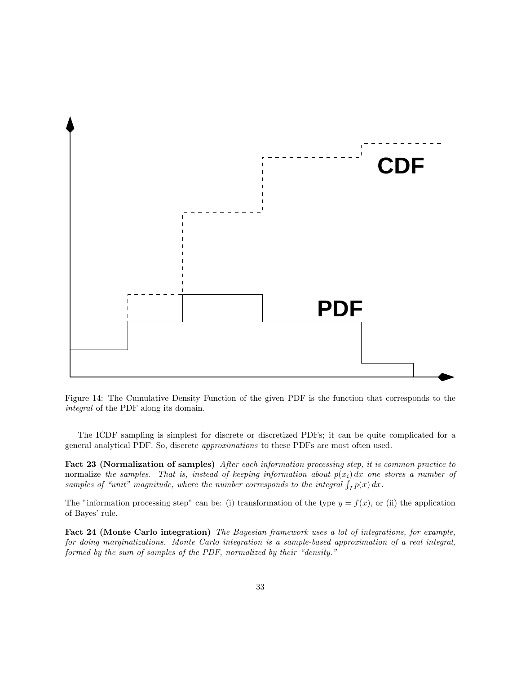

Figure 14: The Cumulative Density Function of the given PDF is the function that corresponds to the integral of the PDF along its domain.

The ICDF sampling is simplest for discrete or discretized PDFs; it can be quite complicated for a general analytical PDF. So, discrete approximations to these PDFs are most often used.

Fact 23 (Normalization of samples) After each information processing step, it is common practice to normalize the samples. That is, instead of keeping information about  $p(x_i) dx$  one stores a number of samples of "unit" magnitude, where the number corresponds to the integral  $\int_I p(x) dx$ .

The "information processing step" can be: (i) transformation of the type  $y = f(x)$ , or (ii) the application of Bayes' rule.

Fact 24 (Monte Carlo integration) The Bayesian framework uses a lot of integrations, for example, for doing marginalizations. Monte Carlo integration is a sample-based approximation of a real integral, formed by the sum of samples of the PDF, normalized by their "density."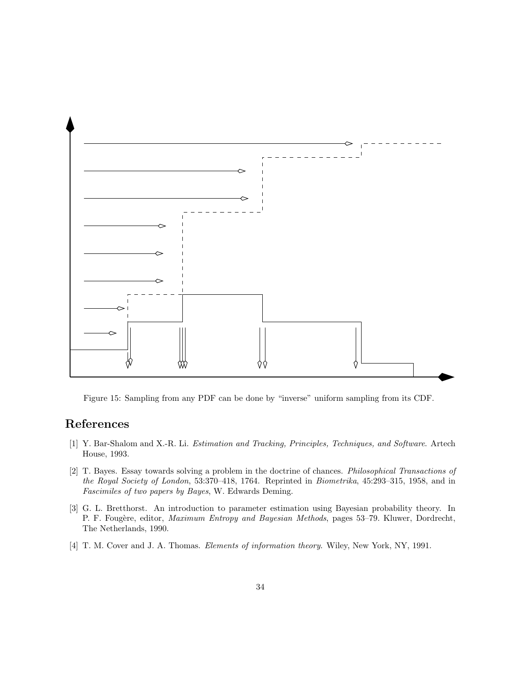

Figure 15: Sampling from any PDF can be done by "inverse" uniform sampling from its CDF.

## References

- [1] Y. Bar-Shalom and X.-R. Li. Estimation and Tracking, Principles, Techniques, and Software. Artech House, 1993.
- [2] T. Bayes. Essay towards solving a problem in the doctrine of chances. Philosophical Transactions of the Royal Society of London, 53:370–418, 1764. Reprinted in Biometrika, 45:293–315, 1958, and in Fascimiles of two papers by Bayes, W. Edwards Deming.
- [3] G. L. Bretthorst. An introduction to parameter estimation using Bayesian probability theory. In P. F. Fougère, editor, *Maximum Entropy and Bayesian Methods*, pages 53–79. Kluwer, Dordrecht, The Netherlands, 1990.
- [4] T. M. Cover and J. A. Thomas. *Elements of information theory*. Wiley, New York, NY, 1991.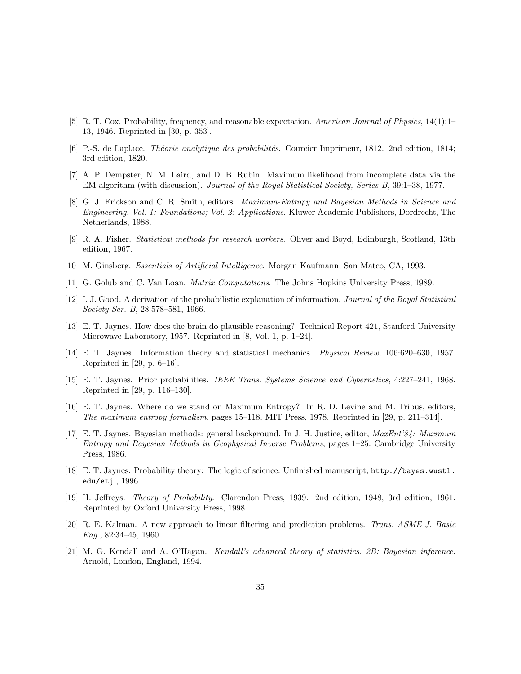- [5] R. T. Cox. Probability, frequency, and reasonable expectation. American Journal of Physics, 14(1):1– 13, 1946. Reprinted in [30, p. 353].
- [6] P.-S. de Laplace. *Théorie analytique des probabilités*. Courcier Imprimeur, 1812. 2nd edition, 1814; 3rd edition, 1820.
- [7] A. P. Dempster, N. M. Laird, and D. B. Rubin. Maximum likelihood from incomplete data via the EM algorithm (with discussion). Journal of the Royal Statistical Society, Series B, 39:1–38, 1977.
- [8] G. J. Erickson and C. R. Smith, editors. Maximum-Entropy and Bayesian Methods in Science and Engineering. Vol. 1: Foundations; Vol. 2: Applications. Kluwer Academic Publishers, Dordrecht, The Netherlands, 1988.
- [9] R. A. Fisher. Statistical methods for research workers. Oliver and Boyd, Edinburgh, Scotland, 13th edition, 1967.
- [10] M. Ginsberg. Essentials of Artificial Intelligence. Morgan Kaufmann, San Mateo, CA, 1993.
- [11] G. Golub and C. Van Loan. Matrix Computations. The Johns Hopkins University Press, 1989.
- [12] I. J. Good. A derivation of the probabilistic explanation of information. Journal of the Royal Statistical Society Ser. B, 28:578–581, 1966.
- [13] E. T. Jaynes. How does the brain do plausible reasoning? Technical Report 421, Stanford University Microwave Laboratory, 1957. Reprinted in [8, Vol. 1, p. 1–24].
- [14] E. T. Jaynes. Information theory and statistical mechanics. Physical Review, 106:620–630, 1957. Reprinted in [29, p. 6–16].
- [15] E. T. Jaynes. Prior probabilities. IEEE Trans. Systems Science and Cybernetics, 4:227–241, 1968. Reprinted in [29, p. 116–130].
- [16] E. T. Jaynes. Where do we stand on Maximum Entropy? In R. D. Levine and M. Tribus, editors, The maximum entropy formalism, pages 15–118. MIT Press, 1978. Reprinted in [29, p. 211–314].
- [17] E. T. Jaynes. Bayesian methods: general background. In J. H. Justice, editor, MaxEnt'84: Maximum Entropy and Bayesian Methods in Geophysical Inverse Problems, pages 1–25. Cambridge University Press, 1986.
- [18] E. T. Jaynes. Probability theory: The logic of science. Unfinished manuscript, http://bayes.wustl. edu/etj., 1996.
- [19] H. Jeffreys. Theory of Probability. Clarendon Press, 1939. 2nd edition, 1948; 3rd edition, 1961. Reprinted by Oxford University Press, 1998.
- [20] R. E. Kalman. A new approach to linear filtering and prediction problems. Trans. ASME J. Basic Eng., 82:34–45, 1960.
- [21] M. G. Kendall and A. O'Hagan. Kendall's advanced theory of statistics. 2B: Bayesian inference. Arnold, London, England, 1994.